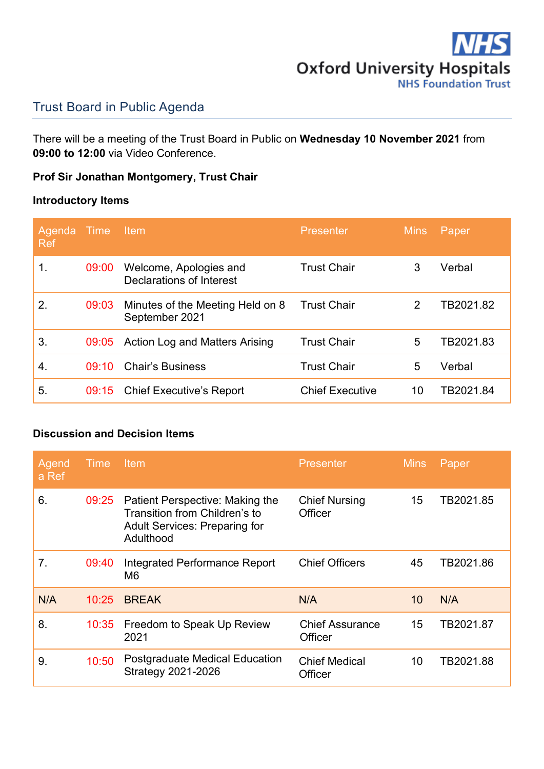

# Trust Board in Public Agenda

There will be a meeting of the Trust Board in Public on **Wednesday 10 November 2021** from **09:00 to 12:00** via Video Conference.

### **Prof Sir Jonathan Montgomery, Trust Chair**

### **Introductory Items**

| Agenda<br><b>Ref</b> | Time  | Item                                               | <b>Presenter</b>       | <b>Mins</b> | Paper     |
|----------------------|-------|----------------------------------------------------|------------------------|-------------|-----------|
| 1.                   | 09:00 | Welcome, Apologies and<br>Declarations of Interest | <b>Trust Chair</b>     | 3           | Verbal    |
| 2.                   | 09:03 | Minutes of the Meeting Held on 8<br>September 2021 | <b>Trust Chair</b>     | 2           | TB2021.82 |
| 3.                   | 09:05 | Action Log and Matters Arising                     | <b>Trust Chair</b>     | 5           | TB2021.83 |
| $\overline{4}$       | 09.10 | <b>Chair's Business</b>                            | <b>Trust Chair</b>     | 5           | Verbal    |
| 5.                   | 09:15 | <b>Chief Executive's Report</b>                    | <b>Chief Executive</b> | 10          | TB2021.84 |

#### **Discussion and Decision Items**

| Agend<br>a Ref | <b>Time</b> | <b>Item</b>                                                                                                           | <b>Presenter</b>                  | <b>Mins</b> | <b>Paper</b> |
|----------------|-------------|-----------------------------------------------------------------------------------------------------------------------|-----------------------------------|-------------|--------------|
| 6.             | 09:25       | Patient Perspective: Making the<br>Transition from Children's to<br><b>Adult Services: Preparing for</b><br>Adulthood | <b>Chief Nursing</b><br>Officer   | 15          | TB2021.85    |
| 7.             | 09:40       | Integrated Performance Report<br>M6                                                                                   | <b>Chief Officers</b>             | 45          | TB2021.86    |
| N/A            | 10:25       | <b>BREAK</b>                                                                                                          | N/A                               | 10          | N/A          |
| 8.             | 10:35       | Freedom to Speak Up Review<br>2021                                                                                    | <b>Chief Assurance</b><br>Officer | 15          | TB2021.87    |
| 9.             | 10:50       | <b>Postgraduate Medical Education</b><br><b>Strategy 2021-2026</b>                                                    | <b>Chief Medical</b><br>Officer   | 10          | TB2021.88    |